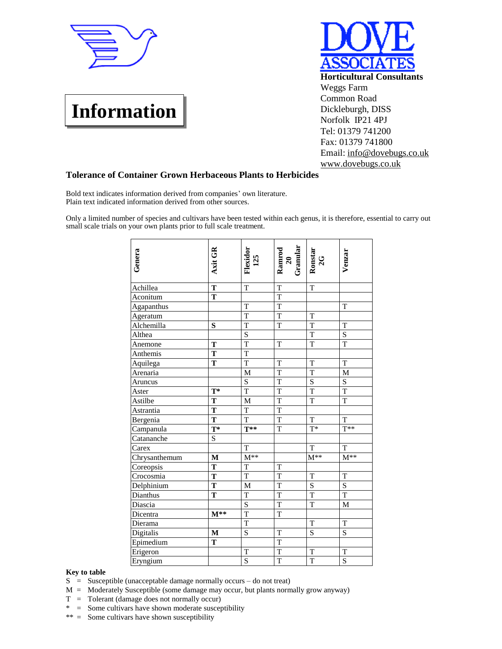

## **Information**



## **Tolerance of Container Grown Herbaceous Plants to Herbicides**

Bold text indicates information derived from companies' own literature. Plain text indicated information derived from other sources.

Only a limited number of species and cultivars have been tested within each genus, it is therefore, essential to carry out small scale trials on your own plants prior to full scale treatment.

| Genera        | Axit GR                 | Flexidor<br>125         | Ramrod<br>20<br>Granular | Ronstar<br>2G           | Venzar                  |
|---------------|-------------------------|-------------------------|--------------------------|-------------------------|-------------------------|
| Achillea      | $\overline{\mathbf{T}}$ | $\mathbf T$             | $\overline{T}$           | $\mathbf T$             |                         |
| Aconitum      | T                       |                         | $\overline{T}$           |                         |                         |
| Agapanthus    |                         | $\mathbf T$             | $\mathbf T$              |                         | $\mathbf T$             |
| Ageratum      |                         | $\mathbf T$             | $\mathbf T$              | T                       |                         |
| Alchemilla    | S                       | $\mathbf T$             | $\rm T$                  | $\mathbf T$             | $\mathbf T$             |
| Althea        |                         | $\overline{S}$          |                          | $\mathbf T$             | $\mathbf S$             |
| Anemone       | T                       | $\overline{\mathrm{T}}$ | T                        | $\overline{T}$          | $\overline{T}$          |
| Anthemis      | T                       | $\overline{T}$          |                          |                         |                         |
| Aquilega      | T                       | $\overline{T}$          | T                        | $\mathbf T$             | $\mathbf T$             |
| Arenaria      |                         | $\mathbf M$             | $\mathbf T$              | $\mathbf T$             | $\mathbf M$             |
| Aruncus       |                         | $\overline{\mathbf{S}}$ | $\overline{T}$           | $\overline{\mathbf{S}}$ | $\overline{\mathbf{S}}$ |
| Aster         | $\mathbf{T}^*$          | $\overline{T}$          | $\overline{T}$           | $\overline{\text{T}}$   | $\overline{\mathrm{T}}$ |
| Astilbe       | T                       | $\mathbf M$             | $\mathbf T$              | $\mathbf T$             | $\mathbf T$             |
| Astrantia     | T                       | $\overline{T}$          | T                        |                         |                         |
| Bergenia      | $\overline{\mathbf{T}}$ | $\overline{T}$          | $\overline{T}$           | $\overline{T}$          | $\overline{T}$          |
| Campanula     | $T^*$                   | $T^{**}$                | $\rm T$                  | $\overline{T^*}$        | $T^{**}$                |
| Catananche    | $\mathbf S$             |                         |                          |                         |                         |
| Carex         |                         | T                       |                          | T                       | $\mathbf T$             |
| Chrysanthemum | M                       | $\mathbf{M}^{**}$       |                          | $M^{**}$                | $M^{**}$                |
| Coreopsis     | ${\bf T}$               | T                       | T                        |                         |                         |
| Crocosmia     | $\mathbf T$             | $\overline{T}$          | $\mathbf T$              | $\mathbf T$             | $\mathbf T$             |
| Delphinium    | T                       | M                       | T                        | ${\bf S}$               | $\mathbf S$             |
| Dianthus      | T                       | $\mathbf T$             | $\mathbf T$              | $\overline{T}$          | $\overline{T}$          |
| Diascia       |                         | S                       | $\mathbf T$              | $\mathbf T$             | $\mathbf{M}$            |
| Dicentra      | $M^{**}$                | $\overline{T}$          | $\mathbf T$              |                         |                         |
| Dierama       |                         | $\overline{T}$          |                          | $\mathbf T$             | $\mathbf T$             |
| Digitalis     | M                       | $\overline{S}$          | $\mathbf T$              | $\overline{S}$          | $\overline{S}$          |
| Epimedium     | T                       |                         | T                        |                         |                         |
| Erigeron      |                         | T                       | $\mathbf T$              | T                       | T                       |
| Eryngium      |                         | S                       | $\overline{T}$           | $\overline{T}$          | S                       |

## **Key to table**

- S = Susceptible (unacceptable damage normally occurs do not treat)
- $M =$  Moderately Susceptible (some damage may occur, but plants normally grow anyway)
- T = Tolerant (damage does not normally occur)
- \* = Some cultivars have shown moderate susceptibility
- \*\* = Some cultivars have shown susceptibility